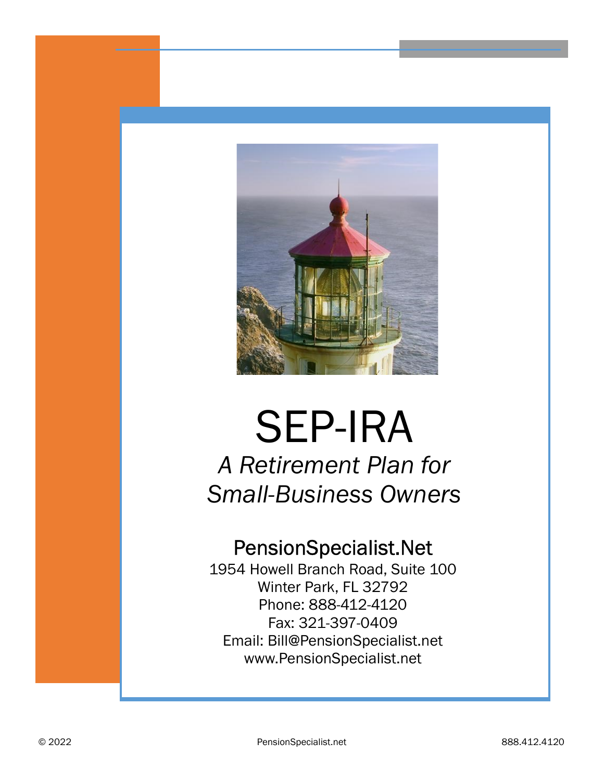

# SEP-IRA A Retirement Plan for Small-Business Owners

## PensionSpecialist.Net

1954 Howell Branch Road, Suite 100 Winter Park, FL 32792 Phone: 888-412-4120 Fax: 321-397-0409 Email: Bill@PensionSpecialist.net www.PensionSpecialist.net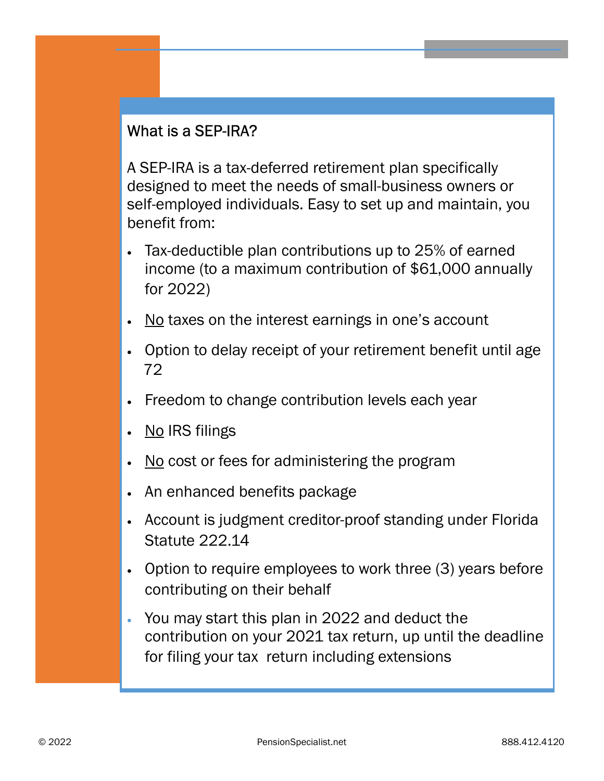### What is a SEP-IRA?

A SEP-IRA is a tax-deferred retirement plan specifically designed to meet the needs of small-business owners or self-employed individuals. Easy to set up and maintain, you benefit from:

- · Tax-deductible plan contributions up to 25% of earned income (to a maximum contribution of \$61,000 annually for 2022)
- No taxes on the interest earnings in one's account
- · Option to delay receipt of your retirement benefit until age 72
- · Freedom to change contribution levels each year
- No IRS filings
- · No cost or fees for administering the program
- An enhanced benefits package
- · Account is judgment creditor-proof standing under Florida Statute 222.14
- · Option to require employees to work three (3) years before contributing on their behalf
- · You may start this plan in 2022 and deduct the contribution on your 2021 tax return, up until the deadline for filing your tax return including extensions